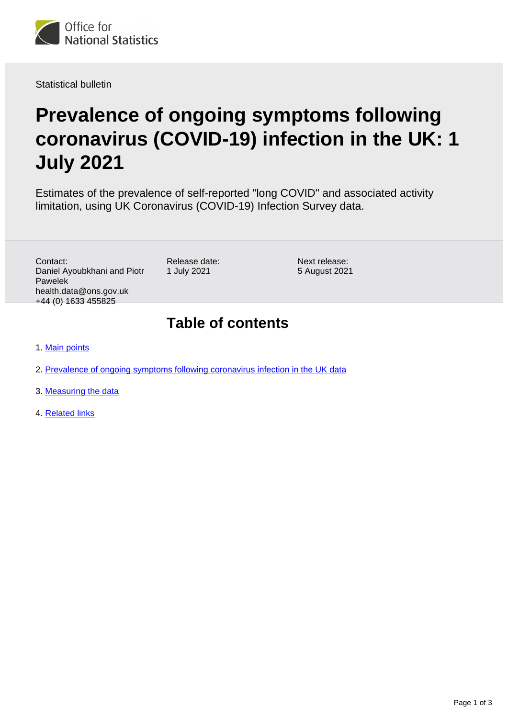

Statistical bulletin

# **Prevalence of ongoing symptoms following coronavirus (COVID-19) infection in the UK: 1 July 2021**

Estimates of the prevalence of self-reported "long COVID" and associated activity limitation, using UK Coronavirus (COVID-19) Infection Survey data.

Contact: Daniel Ayoubkhani and Piotr Pawelek health.data@ons.gov.uk +44 (0) 1633 455825

Release date: 1 July 2021

Next release: 5 August 2021

#### **Table of contents**

- 1. [Main points](#page-1-0)
- 2. [Prevalence of ongoing symptoms following coronavirus infection in the UK data](#page-1-1)
- 3. [Measuring the data](#page-2-0)
- 4. [Related links](#page-2-1)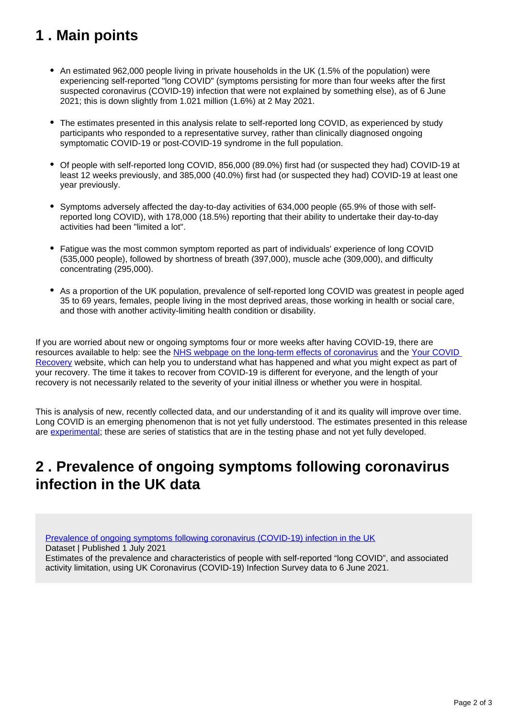# <span id="page-1-0"></span>**1 . Main points**

- An estimated 962,000 people living in private households in the UK (1.5% of the population) were experiencing self-reported "long COVID" (symptoms persisting for more than four weeks after the first suspected coronavirus (COVID-19) infection that were not explained by something else), as of 6 June 2021; this is down slightly from 1.021 million (1.6%) at 2 May 2021.
- The estimates presented in this analysis relate to self-reported long COVID, as experienced by study participants who responded to a representative survey, rather than clinically diagnosed ongoing symptomatic COVID-19 or post-COVID-19 syndrome in the full population.
- Of people with self-reported long COVID, 856,000 (89.0%) first had (or suspected they had) COVID-19 at least 12 weeks previously, and 385,000 (40.0%) first had (or suspected they had) COVID-19 at least one year previously.
- Symptoms adversely affected the day-to-day activities of 634,000 people (65.9% of those with selfreported long COVID), with 178,000 (18.5%) reporting that their ability to undertake their day-to-day activities had been "limited a lot".
- Fatigue was the most common symptom reported as part of individuals' experience of long COVID (535,000 people), followed by shortness of breath (397,000), muscle ache (309,000), and difficulty concentrating (295,000).
- As a proportion of the UK population, prevalence of self-reported long COVID was greatest in people aged 35 to 69 years, females, people living in the most deprived areas, those working in health or social care, and those with another activity-limiting health condition or disability.

If you are worried about new or ongoing symptoms four or more weeks after having COVID-19, there are resources available to help: see the [NHS webpage on the long-term effects of coronavirus](https://www.nhs.uk/conditions/coronavirus-covid-19/long-term-effects-of-coronavirus-long-covid/) and the Your COVID [Recovery](https://www.yourcovidrecovery.nhs.uk/) website, which can help you to understand what has happened and what you might expect as part of your recovery. The time it takes to recover from COVID-19 is different for everyone, and the length of your recovery is not necessarily related to the severity of your initial illness or whether you were in hospital.

This is analysis of new, recently collected data, and our understanding of it and its quality will improve over time. Long COVID is an emerging phenomenon that is not yet fully understood. The estimates presented in this release are [experimental](https://www.ons.gov.uk/methodology/methodologytopicsandstatisticalconcepts/guidetoexperimentalstatistics); these are series of statistics that are in the testing phase and not yet fully developed.

### <span id="page-1-1"></span>**2 . Prevalence of ongoing symptoms following coronavirus infection in the UK data**

[Prevalence of ongoing symptoms following coronavirus \(COVID-19\) infection in the UK](https://www.ons.gov.uk/peoplepopulationandcommunity/healthandsocialcare/conditionsanddiseases/datasets/alldatarelatingtoprevalenceofongoingsymptomsfollowingcoronaviruscovid19infectionintheuk)

Dataset | Published 1 July 2021

Estimates of the prevalence and characteristics of people with self-reported "long COVID", and associated activity limitation, using UK Coronavirus (COVID-19) Infection Survey data to 6 June 2021.